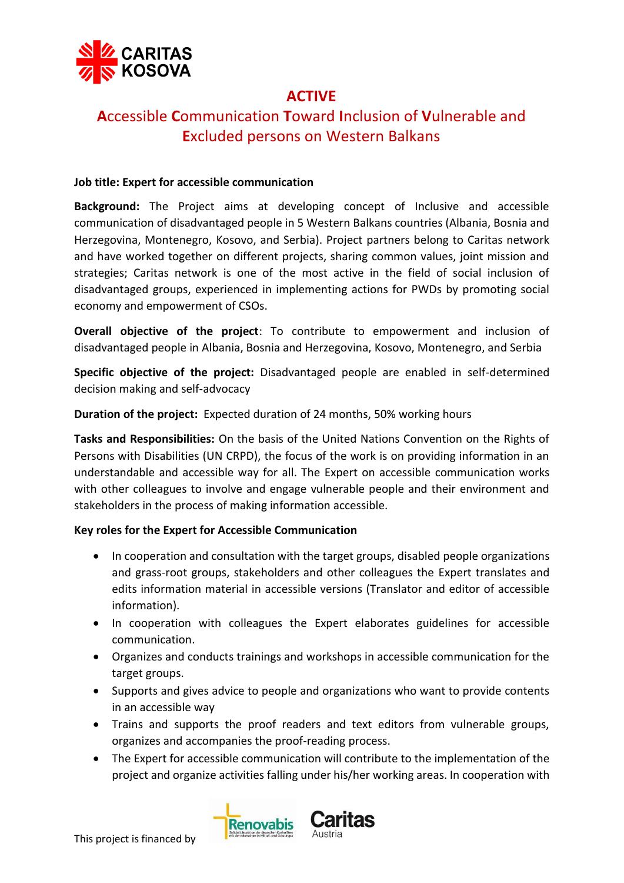

# **ACTIVE**

# **A**ccessible **C**ommunication **T**oward **I**nclusion of **V**ulnerable and **E**xcluded persons on Western Balkans

### **Job title: Expert for accessible communication**

**Background:** The Project aims at developing concept of Inclusive and accessible communication of disadvantaged people in 5 Western Balkans countries (Albania, Bosnia and Herzegovina, Montenegro, Kosovo, and Serbia). Project partners belong to Caritas network and have worked together on different projects, sharing common values, joint mission and strategies; Caritas network is one of the most active in the field of social inclusion of disadvantaged groups, experienced in implementing actions for PWDs by promoting social economy and empowerment of CSOs.

**Overall objective of the project**: To contribute to empowerment and inclusion of disadvantaged people in Albania, Bosnia and Herzegovina, Kosovo, Montenegro, and Serbia

**Specific objective of the project:** Disadvantaged people are enabled in self-determined decision making and self-advocacy

**Duration of the project:** Expected duration of 24 months, 50% working hours

**Tasks and Responsibilities:** On the basis of the United Nations Convention on the Rights of Persons with Disabilities (UN CRPD), the focus of the work is on providing information in an understandable and accessible way for all. The Expert on accessible communication works with other colleagues to involve and engage vulnerable people and their environment and stakeholders in the process of making information accessible.

### **Key roles for the Expert for Accessible Communication**

- In cooperation and consultation with the target groups, disabled people organizations and grass-root groups, stakeholders and other colleagues the Expert translates and edits information material in accessible versions (Translator and editor of accessible information).
- In cooperation with colleagues the Expert elaborates guidelines for accessible communication.
- Organizes and conducts trainings and workshops in accessible communication for the target groups.
- Supports and gives advice to people and organizations who want to provide contents in an accessible way
- Trains and supports the proof readers and text editors from vulnerable groups, organizes and accompanies the proof-reading process.
- The Expert for accessible communication will contribute to the implementation of the project and organize activities falling under his/her working areas. In cooperation with

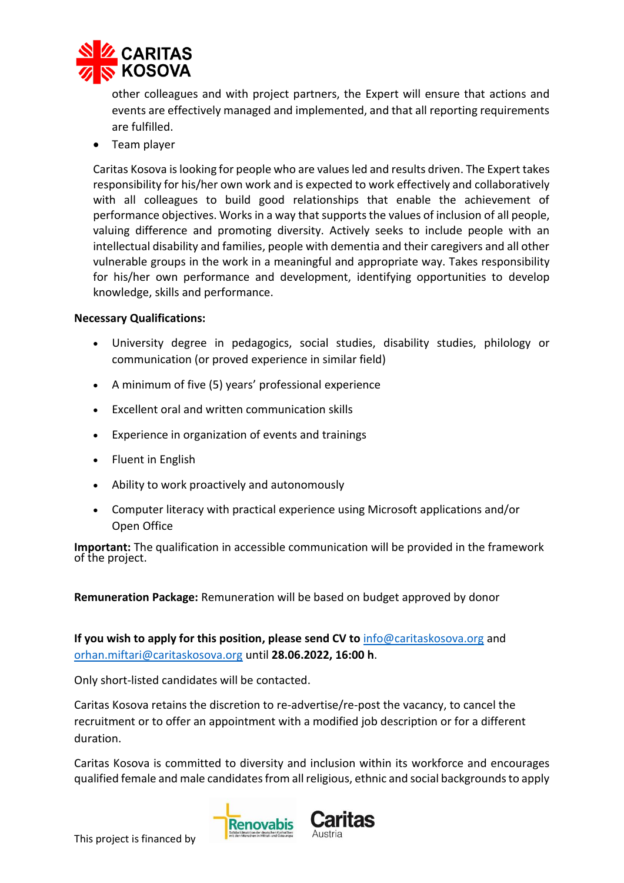

other colleagues and with project partners, the Expert will ensure that actions and events are effectively managed and implemented, and that all reporting requirements are fulfilled.

• Team player

Caritas Kosova is looking for people who are values led and results driven. The Expert takes responsibility for his/her own work and is expected to work effectively and collaboratively with all colleagues to build good relationships that enable the achievement of performance objectives. Works in a way that supports the values of inclusion of all people, valuing difference and promoting diversity. Actively seeks to include people with an intellectual disability and families, people with dementia and their caregivers and all other vulnerable groups in the work in a meaningful and appropriate way. Takes responsibility for his/her own performance and development, identifying opportunities to develop knowledge, skills and performance.

#### **Necessary Qualifications:**

- University degree in pedagogics, social studies, disability studies, philology or communication (or proved experience in similar field)
- A minimum of five (5) years' professional experience
- Excellent oral and written communication skills
- Experience in organization of events and trainings
- Fluent in English
- Ability to work proactively and autonomously
- Computer literacy with practical experience using Microsoft applications and/or Open Office

**Important:** The qualification in accessible communication will be provided in the framework of the project.

**Remuneration Package:** Remuneration will be based on budget approved by donor

**If you wish to apply for this position, please send CV to [info@caritaskosova.org](mailto:info@caritaskosova.org) and** [orhan.miftari@caritaskosova.org](mailto:orhan.miftari@caritaskosova.org) until **28.06.2022, 16:00 h**.

Only short-listed candidates will be contacted.

Caritas Kosova retains the discretion to re-advertise/re-post the vacancy, to cancel the recruitment or to offer an appointment with a modified job description or for a different duration.

Caritas Kosova is committed to diversity and inclusion within its workforce and encourages qualified female and male candidates from all religious, ethnic and social backgrounds to apply